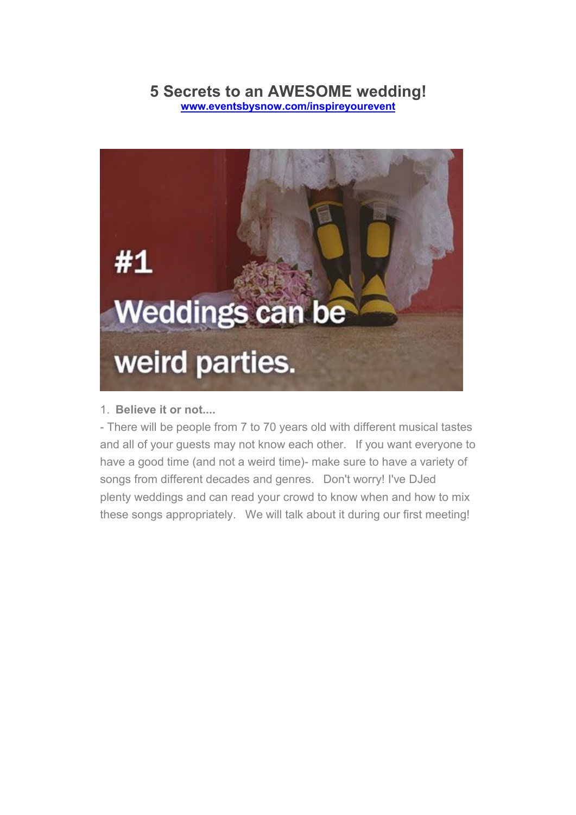# **5 Secrets to an AWESOME wedding! [www.eventsbysnow.com/inspireyourevent](http://www.eventsbysnow.com/inspireyourevent)**



1. **Believe it or not....**

- There will be people from 7 to 70 years old with different musical tastes and all of your guests may not know each other. If you want everyone to have a good time (and not a weird time)- make sure to have a variety of songs from different decades and genres. Don't worry! I've DJed plenty weddings and can read your crowd to know when and how to mix these songs appropriately. We will talk about it during our first meeting!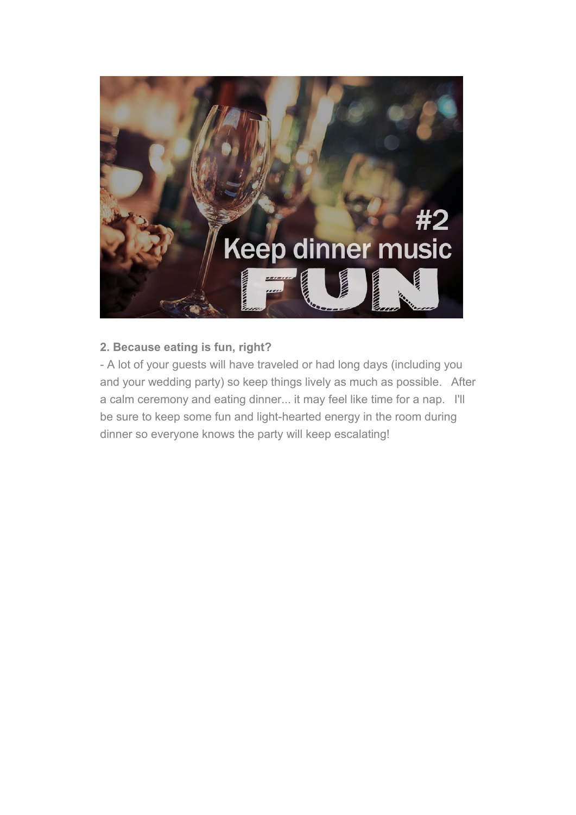

# **2. Because eating is fun, right?**

- A lot of your guests will have traveled or had long days (including you and your wedding party) so keep things lively as much as possible. After a calm ceremony and eating dinner... it may feel like time for a nap. I'll be sure to keep some fun and light-hearted energy in the room during dinner so everyone knows the party will keep escalating!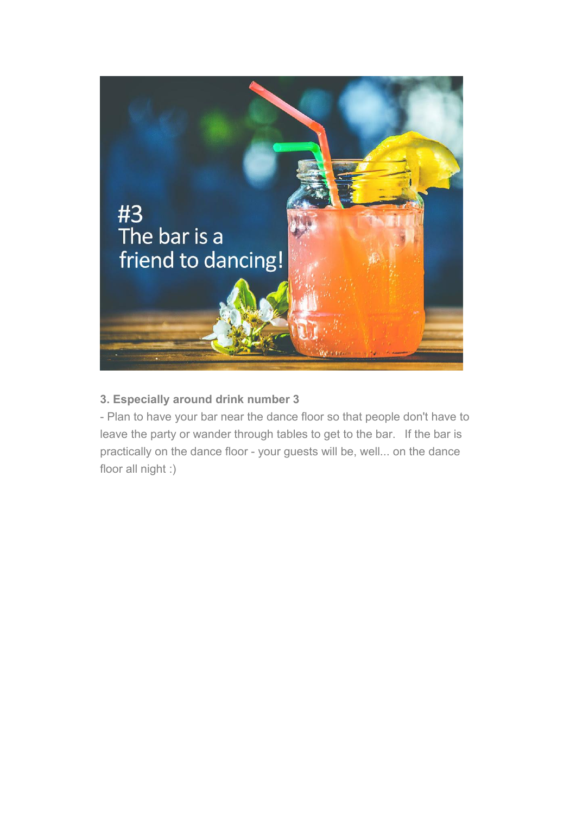

## **3. Especially around drink number 3**

- Plan to have your bar near the dance floor so that people don't have to leave the party or wander through tables to get to the bar. If the bar is practically on the dance floor - your guests will be, well... on the dance floor all night :)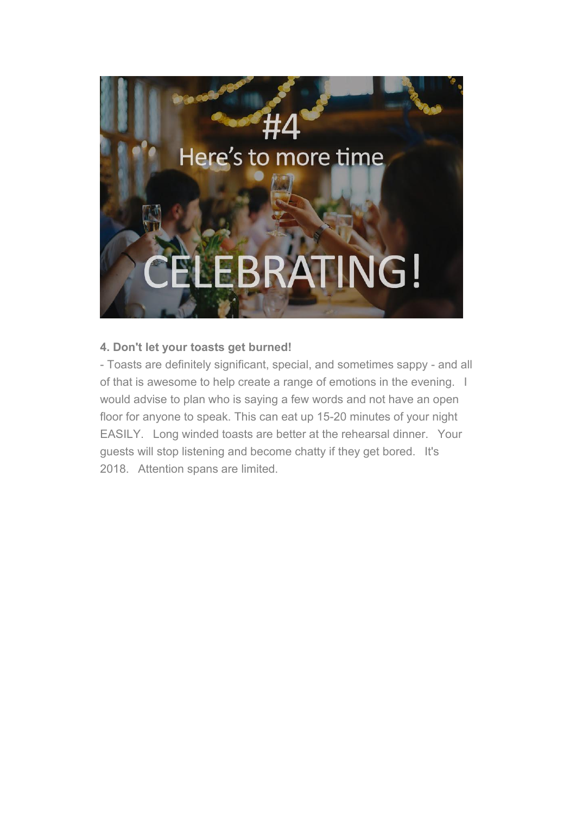

#### **4. Don't let your toasts get burned!**

- Toasts are definitely significant, special, and sometimes sappy - and all of that is awesome to help create a range of emotions in the evening. I would advise to plan who is saying a few words and not have an open floor for anyone to speak. This can eat up 15-20 minutes of your night EASILY. Long winded toasts are better at the rehearsal dinner. Your guests will stop listening and become chatty if they get bored. It's 2018. Attention spans are limited.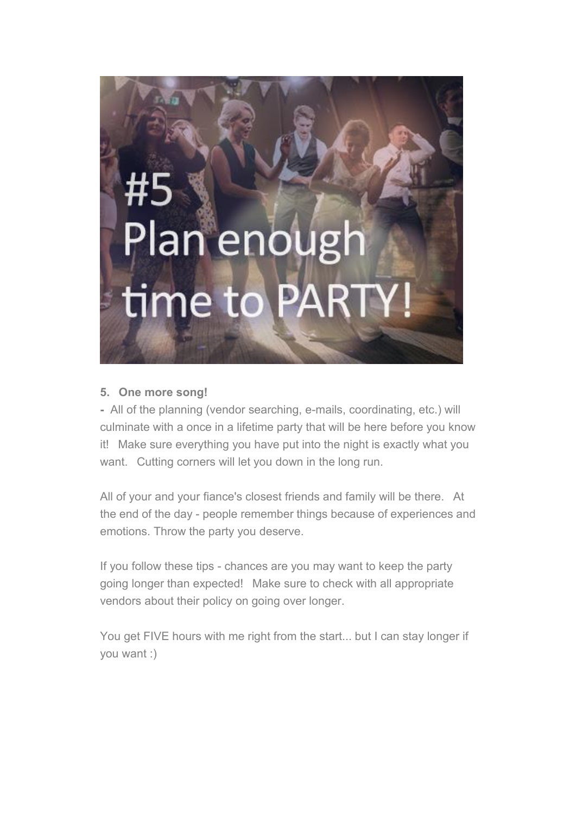# Plan enou time to PA

### **5. One more song!**

**-** All of the planning (vendor searching, e-mails, coordinating, etc.) will culminate with a once in a lifetime party that will be here before you know it! Make sure everything you have put into the night is exactly what you want. Cutting corners will let you down in the long run.

All of your and your fiance's closest friends and family will be there. At the end of the day - people remember things because of experiences and emotions. Throw the party you deserve.

If you follow these tips - chances are you may want to keep the party going longer than expected! Make sure to check with all appropriate vendors about their policy on going over longer.

You get FIVE hours with me right from the start... but I can stay longer if you want :)